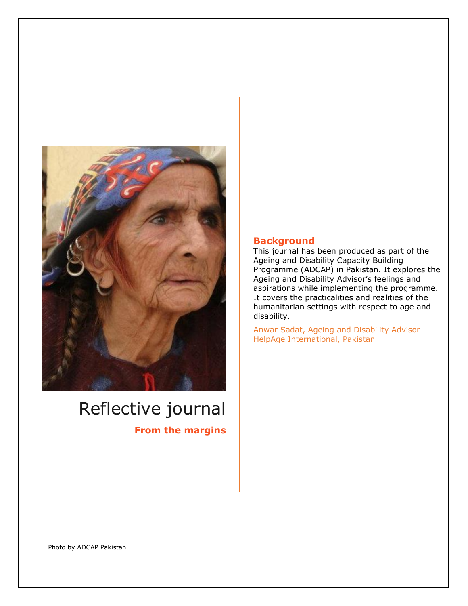

# Reflective journal

**From the margins**

### **Background**

This journal has been produced as part of the Ageing and Disability Capacity Building Programme (ADCAP) in Pakistan. It explores the Ageing and Disability Advisor's feelings and aspirations while implementing the programme. It covers the practicalities and realities of the humanitarian settings with respect to age and disability.

Anwar Sadat, Ageing and Disability Advisor HelpAge International, Pakistan

Photo by ADCAP Pakistan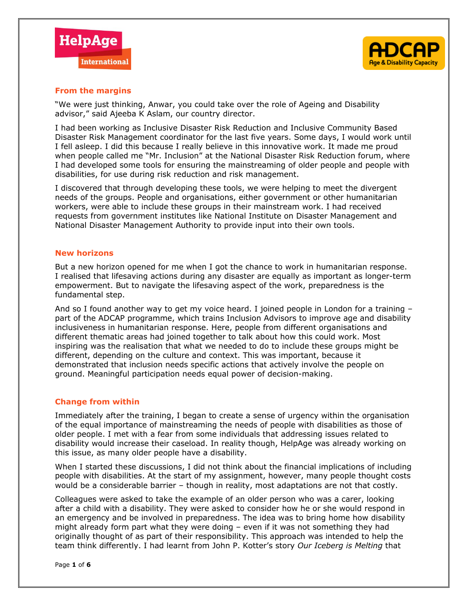



#### **From the margins**

"We were just thinking, Anwar, you could take over the role of Ageing and Disability advisor," said Ajeeba K Aslam, our country director.

I had been working as Inclusive Disaster Risk Reduction and Inclusive Community Based Disaster Risk Management coordinator for the last five years. Some days, I would work until I fell asleep. I did this because I really believe in this innovative work. It made me proud when people called me "Mr. Inclusion" at the National Disaster Risk Reduction forum, where I had developed some tools for ensuring the mainstreaming of older people and people with disabilities, for use during risk reduction and risk management.

I discovered that through developing these tools, we were helping to meet the divergent needs of the groups. People and organisations, either government or other humanitarian workers, were able to include these groups in their mainstream work. I had received requests from government institutes like National Institute on Disaster Management and National Disaster Management Authority to provide input into their own tools.

#### **New horizons**

But a new horizon opened for me when I got the chance to work in humanitarian response. I realised that lifesaving actions during any disaster are equally as important as longer-term empowerment. But to navigate the lifesaving aspect of the work, preparedness is the fundamental step.

And so I found another way to get my voice heard. I joined people in London for a training part of the ADCAP programme, which trains Inclusion Advisors to improve age and disability inclusiveness in humanitarian response. Here, people from different organisations and different thematic areas had joined together to talk about how this could work. Most inspiring was the realisation that what we needed to do to include these groups might be different, depending on the culture and context. This was important, because it demonstrated that inclusion needs specific actions that actively involve the people on ground. Meaningful participation needs equal power of decision-making.

#### **Change from within**

Immediately after the training, I began to create a sense of urgency within the organisation of the equal importance of mainstreaming the needs of people with disabilities as those of older people. I met with a fear from some individuals that addressing issues related to disability would increase their caseload. In reality though, HelpAge was already working on this issue, as many older people have a disability.

When I started these discussions, I did not think about the financial implications of including people with disabilities. At the start of my assignment, however, many people thought costs would be a considerable barrier – though in reality, most adaptations are not that costly.

Colleagues were asked to take the example of an older person who was a carer, looking after a child with a disability. They were asked to consider how he or she would respond in an emergency and be involved in preparedness. The idea was to bring home how disability might already form part what they were doing – even if it was not something they had originally thought of as part of their responsibility. This approach was intended to help the team think differently. I had learnt from John P. Kotter's story *Our Iceberg is Melting* that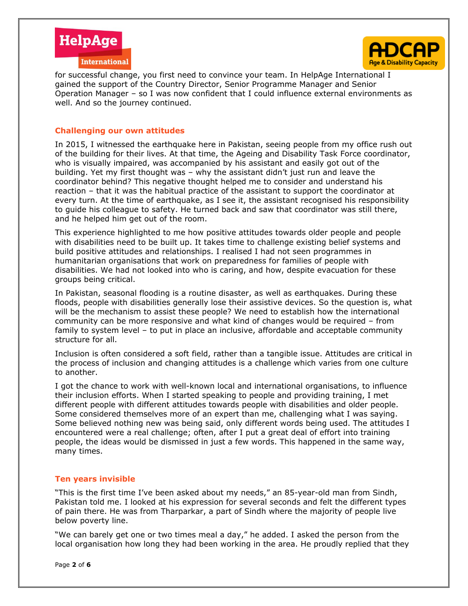



for successful change, you first need to convince your team. In HelpAge International I gained the support of the Country Director, Senior Programme Manager and Senior Operation Manager – so I was now confident that I could influence external environments as well. And so the journey continued.

#### **Challenging our own attitudes**

In 2015, I witnessed the earthquake here in Pakistan, seeing people from my office rush out of the building for their lives. At that time, the Ageing and Disability Task Force coordinator, who is visually impaired, was accompanied by his assistant and easily got out of the building. Yet my first thought was – why the assistant didn't just run and leave the coordinator behind? This negative thought helped me to consider and understand his reaction – that it was the habitual practice of the assistant to support the coordinator at every turn. At the time of earthquake, as I see it, the assistant recognised his responsibility to guide his colleague to safety. He turned back and saw that coordinator was still there, and he helped him get out of the room.

This experience highlighted to me how positive attitudes towards older people and people with disabilities need to be built up. It takes time to challenge existing belief systems and build positive attitudes and relationships. I realised I had not seen programmes in humanitarian organisations that work on preparedness for families of people with disabilities. We had not looked into who is caring, and how, despite evacuation for these groups being critical.

In Pakistan, seasonal flooding is a routine disaster, as well as earthquakes. During these floods, people with disabilities generally lose their assistive devices. So the question is, what will be the mechanism to assist these people? We need to establish how the international community can be more responsive and what kind of changes would be required – from family to system level – to put in place an inclusive, affordable and acceptable community structure for all.

Inclusion is often considered a soft field, rather than a tangible issue. Attitudes are critical in the process of inclusion and changing attitudes is a challenge which varies from one culture to another.

I got the chance to work with well-known local and international organisations, to influence their inclusion efforts. When I started speaking to people and providing training, I met different people with different attitudes towards people with disabilities and older people. Some considered themselves more of an expert than me, challenging what I was saying. Some believed nothing new was being said, only different words being used. The attitudes I encountered were a real challenge; often, after I put a great deal of effort into training people, the ideas would be dismissed in just a few words. This happened in the same way, many times.

#### **Ten years invisible**

"This is the first time I've been asked about my needs," an 85-year-old man from Sindh, Pakistan told me. I looked at his expression for several seconds and felt the different types of pain there. He was from Tharparkar, a part of Sindh where the majority of people live below poverty line.

"We can barely get one or two times meal a day," he added. I asked the person from the local organisation how long they had been working in the area. He proudly replied that they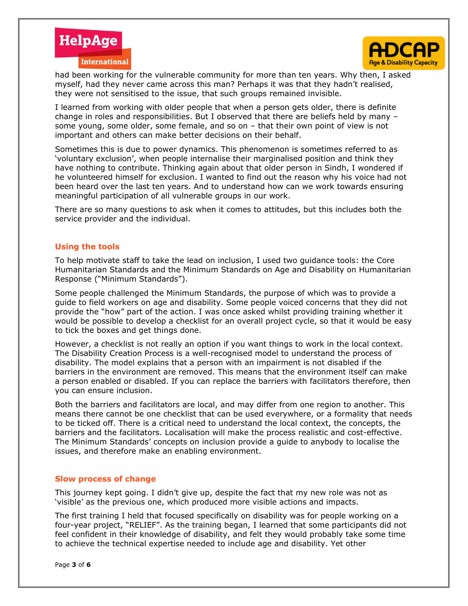



had been working for the vulnerable community for more than ten years. Why then, I asked myself, had they never came across this man? Perhaps it was that they hadn't realised, they were not sensitised to the issue, that such groups remained invisible.

I learned from working with older people that when a person gets older, there is definite change in roles and responsibilities. But I observed that there are beliefs held by many – some young, some older, some female, and so on – that their own point of view is not important and others can make better decisions on their behalf.

Sometimes this is due to power dynamics. This phenomenon is sometimes referred to as 'voluntary exclusion', when people internalise their marginalised position and think they have nothing to contribute. Thinking again about that older person in Sindh, I wondered if he volunteered himself for exclusion. I wanted to find out the reason why his voice had not been heard over the last ten years. And to understand how can we work towards ensuring meaningful participation of all vulnerable groups in our work.

There are so many questions to ask when it comes to attitudes, but this includes both the service provider and the individual.

#### **Using the tools**

To help motivate staff to take the lead on inclusion, I used two guidance tools: the Core Humanitarian Standards and the Minimum Standards on Age and Disability on Humanitarian Response ("Minimum Standards").

Some people challenged the Minimum Standards, the purpose of which was to provide a guide to field workers on age and disability. Some people voiced concerns that they did not provide the "how" part of the action. I was once asked whilst providing training whether it would be possible to develop a checklist for an overall project cycle, so that it would be easy to tick the boxes and get things done.

However, a checklist is not really an option if you want things to work in the local context. The Disability Creation Process is a well-recognised model to understand the process of disability. The model explains that a person with an impairment is not disabled if the barriers in the environment are removed. This means that the environment itself can make a person enabled or disabled. If you can replace the barriers with facilitators therefore, then you can ensure inclusion.

Both the barriers and facilitators are local, and may differ from one region to another. This means there cannot be one checklist that can be used everywhere, or a formality that needs to be ticked off. There is a critical need to understand the local context, the concepts, the barriers and the facilitators. Localisation will make the process realistic and cost-effective. The Minimum Standards' concepts on inclusion provide a guide to anybody to localise the issues, and therefore make an enabling environment.

#### **Slow process of change**

This journey kept going. I didn't give up, despite the fact that my new role was not as 'visible' as the previous one, which produced more visible actions and impacts.

The first training I held that focused specifically on disability was for people working on a four-year project, "RELIEF". As the training began, I learned that some participants did not feel confident in their knowledge of disability, and felt they would probably take some time to achieve the technical expertise needed to include age and disability. Yet other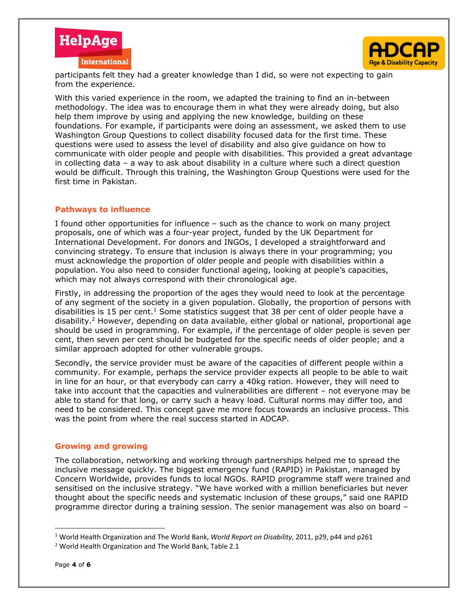



participants felt they had a greater knowledge than I did, so were not expecting to gain from the experience.

With this varied experience in the room, we adapted the training to find an in-between methodology. The idea was to encourage them in what they were already doing, but also help them improve by using and applying the new knowledge, building on these foundations. For example, if participants were doing an assessment, we asked them to use Washington Group Questions to collect disability focused data for the first time. These questions were used to assess the level of disability and also give guidance on how to communicate with older people and people with disabilities. This provided a great advantage in collecting data – a way to ask about disability in a culture where such a direct question would be difficult. Through this training, the Washington Group Questions were used for the first time in Pakistan.

#### **Pathways to influence**

I found other opportunities for influence – such as the chance to work on many project proposals, one of which was a four-year project, funded by the UK Department for International Development. For donors and INGOs, I developed a straightforward and convincing strategy. To ensure that inclusion is always there in your programming; you must acknowledge the proportion of older people and people with disabilities within a population. You also need to consider functional ageing, looking at people's capacities, which may not always correspond with their chronological age.

Firstly, in addressing the proportion of the ages they would need to look at the percentage of any segment of the society in a given population. Globally, the proportion of persons with disabilities is 15 per cent.<sup>1</sup> Some statistics suggest that 38 per cent of older people have a disability.<sup>2</sup> However, depending on data available, either global or national, proportional age should be used in programming. For example, if the percentage of older people is seven per cent, then seven per cent should be budgeted for the specific needs of older people; and a similar approach adopted for other vulnerable groups.

Secondly, the service provider must be aware of the capacities of different people within a community. For example, perhaps the service provider expects all people to be able to wait in line for an hour, or that everybody can carry a 40kg ration. However, they will need to take into account that the capacities and vulnerabilities are different – not everyone may be able to stand for that long, or carry such a heavy load. Cultural norms may differ too, and need to be considered. This concept gave me more focus towards an inclusive process. This was the point from where the real success started in ADCAP.

#### **Growing and growing**

The collaboration, networking and working through partnerships helped me to spread the inclusive message quickly. The biggest emergency fund (RAPID) in Pakistan, managed by Concern Worldwide, provides funds to local NGOs. RAPID programme staff were trained and sensitised on the inclusive strategy. "We have worked with a million beneficiaries but never thought about the specific needs and systematic inclusion of these groups," said one RAPID programme director during a training session. The senior management was also on board –

 $\overline{\phantom{a}}$ 

<sup>1</sup> World Health Organization and The World Bank, *World Report on Disability*, 2011, p29, p44 and p261

<sup>2</sup> World Health Organization and The World Bank, Table 2.1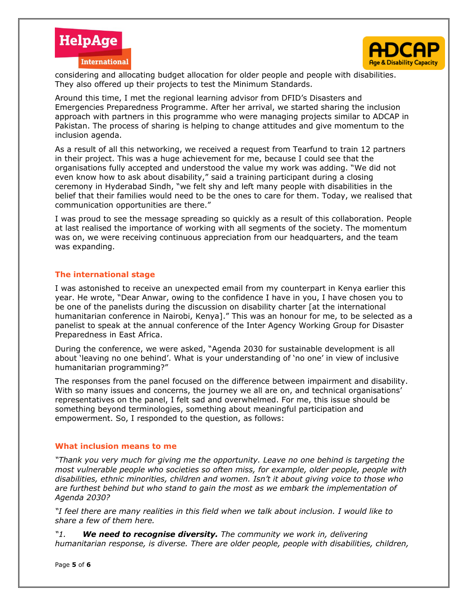



considering and allocating budget allocation for older people and people with disabilities. They also offered up their projects to test the Minimum Standards.

Around this time, I met the regional learning advisor from DFID's Disasters and Emergencies Preparedness Programme. After her arrival, we started sharing the inclusion approach with partners in this programme who were managing projects similar to ADCAP in Pakistan. The process of sharing is helping to change attitudes and give momentum to the inclusion agenda.

As a result of all this networking, we received a request from Tearfund to train 12 partners in their project. This was a huge achievement for me, because I could see that the organisations fully accepted and understood the value my work was adding. "We did not even know how to ask about disability," said a training participant during a closing ceremony in Hyderabad Sindh, "we felt shy and left many people with disabilities in the belief that their families would need to be the ones to care for them. Today, we realised that communication opportunities are there."

I was proud to see the message spreading so quickly as a result of this collaboration. People at last realised the importance of working with all segments of the society. The momentum was on, we were receiving continuous appreciation from our headquarters, and the team was expanding.

#### **The international stage**

I was astonished to receive an unexpected email from my counterpart in Kenya earlier this year. He wrote, "Dear Anwar, owing to the confidence I have in you, I have chosen you to be one of the panelists during the discussion on disability charter [at the international humanitarian conference in Nairobi, Kenya]." This was an honour for me, to be selected as a panelist to speak at the annual conference of the Inter Agency Working Group for Disaster Preparedness in East Africa.

During the conference, we were asked, "Agenda 2030 for sustainable development is all about 'leaving no one behind'. What is your understanding of 'no one' in view of inclusive humanitarian programming?"

The responses from the panel focused on the difference between impairment and disability. With so many issues and concerns, the journey we all are on, and technical organisations' representatives on the panel, I felt sad and overwhelmed. For me, this issue should be something beyond terminologies, something about meaningful participation and empowerment. So, I responded to the question, as follows:

#### **What inclusion means to me**

*"Thank you very much for giving me the opportunity. Leave no one behind is targeting the most vulnerable people who societies so often miss, for example, older people, people with disabilities, ethnic minorities, children and women. Isn't it about giving voice to those who are furthest behind but who stand to gain the most as we embark the implementation of Agenda 2030?*

*"I feel there are many realities in this field when we talk about inclusion. I would like to share a few of them here.*

*"1. We need to recognise diversity. The community we work in, delivering humanitarian response, is diverse. There are older people, people with disabilities, children,*